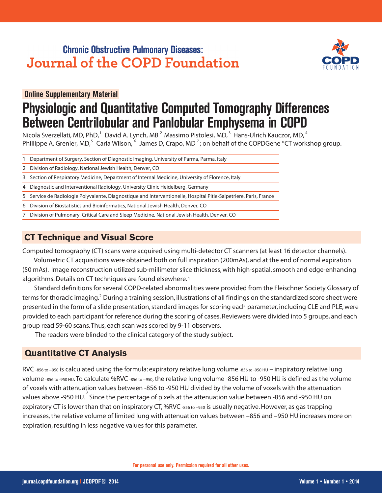## **Chronic Obstructive Pulmonary Diseases: Journal of the COPD Foundation**



**Online Supplementary Material .**

# **Physiologic and Quantitative Computed Tomography Differences Between Centrilobular and Panlobular Emphysema in COPD**

 $N$ icola Sverzellati, MD, PhD,  $\widehat{ }$  David A. Lynch, MB  $^{2}$  Massimo Pistolesi, MD,  $^{3}$  Hans-Ulrich Kauczor, MD,  $^{4}$ <code>Phillippe A. Grenier, MD, $^5$  Carla Wilson,  $^6$  James D, Crapo, MD<sup>7</sup>; on behalf of the COPDGene ®CT workshop group.</code>

- Department of Surgery, Section of Diagnostic Imaging, University of Parma, Parma, Italy 1
- 2 Division of Radiology, National Jewish Health, Denver, CO
- Section of Respiratory Medicine, Department of Internal Medicine, University of Florence, Italy 3
- Diagnostic and Interventional Radiology, University Clinic Heidelberg, Germany 4
- 5 Service de Radiologie Polyvalente, Diagnostique and Interventionelle, Hospital Pitie-Salpetriere, Paris, France
- Division of Biostatistics and Bioinformatics, National Jewish Health, Denver, CO 6
- Division of Pulmonary, Critical Care and Sleep Medicine, National Jewish Health, Denver, CO 7

### **CT Technique and Visual Score**

Computed tomography (CT) scans were acquired using multi-detector CT scanners (at least 16 detector channels).

 Volumetric CT acquisitions were obtained both on full inspiration (200mAs), and at the end of normal expiration (50 mAs). Image reconstruction utilized sub-millimeter slice thickness, with high-spatial, smooth and edge-enhancing algorithms. Details on CT techniques are found elsewhere. **1**

. Standard definitions for several COPD-related abnormalities were provided from the Fleischner Society Glossary of terms for thoracic imaging.<sup>2</sup> During a training session, illustrations of all findings on the standardized score sheet were presented in the form of a slide presentation, standard images for scoring each parameter, including CLE and PLE, were provided to each participant for reference during the scoring of cases. Reviewers were divided into 5 groups, and each group read 59-60 scans. Thus, each scan was scored by 9-11 observers.

The readers were blinded to the clinical category of the study subject.

#### **Quantitative CT Analysis**

RVC -856 to –950 is calculated using the formula: expiratory relative lung volume -856 to -950 HU – inspiratory relative lung volume -856 to -950 HU. To calculate %RVC -856 to −950, the relative lung volume -856 HU to -950 HU is defined as the volume of voxels with attenuation values between -856 to -950 HU divided by the volume of voxels with the attenuation values above -950 HU. Since the percentage of pixels at the attenuation value between -856 and -950 HU on **3**expiratory CT is lower than that on inspiratory CT, %RVC -856 to -950 is usually negative. However, as gas trapping increases, the relative volume of limited lung with attenuation values between –856 and –950 HU increases more on expiration, resulting in less negative values for this parameter.